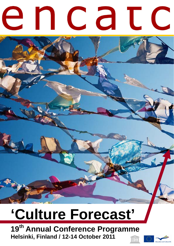# e n c a t c

# **'Culture Forecast'**

**19th Annual Conference Programme Helsinki, Finland / 12-14 October 2011** 

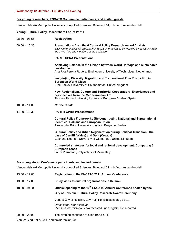### **For young researchers, ENCATC Conference participants, and invited guests**

Venue: Helsinki Metropolia University of Applied Sciences, Bulevardi 31, 4th floor, Assembly Hall

### **Young Cultural Policy Researchers Forum Part II**

| $08:30 - 08:55$ | <b>Registration</b>                                                                                                                                                                                         |
|-----------------|-------------------------------------------------------------------------------------------------------------------------------------------------------------------------------------------------------------|
| $09:00 - 10:30$ | Presentations from the 6 Cultural Policy Research Award finalists<br>Each CPRA finalist will present their research proposal to be followed by questions from<br>the CPRA jury and members of the audience. |
|                 | <b>PART I CPRA Presentations</b>                                                                                                                                                                            |
|                 | Achieving Balance in the Liaison between World Heritage and sustainable<br>development<br>Ana Rita Pereira Roders, Eindhoven University of Technology, Netherlands                                          |
|                 | Imag(in)ing Diversity. Migration and Transnational Film Production in<br><b>European World Cities</b><br>Arne Saeys, University of Southampton, United Kingdom                                              |
|                 | New-Regionalism, Culture and Territorial Cooperation: Experiences and<br>perspectives from the Mediterranean Arc<br>Thomas Perrin, University Institute of European Studies, Spain                          |
| $10:30 - 11:00$ | <b>Coffee Break</b>                                                                                                                                                                                         |
| $11:00 - 12:30$ | <b>PART II CPRA Presentations</b>                                                                                                                                                                           |
|                 | <b>Cultural Policy Frameworks (Re)constructing National and Supranational</b><br><b>Identities: Balkans and European Union</b><br>Aleksandar Brkic, University of Arts in Belgrade, Serbia                  |
|                 | <b>Cultural Policy and Urban Regeneration during Political Transition: The</b><br>case of Cardiff (Wales) and Split (Croatia)<br>Caitriona Noonan, University of Glamorgan, United Kingdom                  |
|                 | Culture-led strategies for local and regional development: Comparing 5<br><b>European cases</b><br>Laura Pierantoni, Polytechnic of Milan, Italy                                                            |

### **For all registered Conference participants and invited guests**

Venue: Helsinki Metropolia University of Applied Sciences, Bulevardi 31, 4th floor, Assembly Hall

| $13:00 - 17:00$ | Registration to the ENCATC 2011 Annual Conference                                                                                             |
|-----------------|-----------------------------------------------------------------------------------------------------------------------------------------------|
| $13:30 - 17:00$ | Study visits to cultural organizations in Helsinki                                                                                            |
| $18:00 - 19:30$ | Official opening of the 19 <sup>th</sup> ENCATC Annual Conference hosted by the<br>City of Helsinki. Cultural Policy Research Award Ceremony. |
|                 | Venue: City of Helsinki, City Hall, Pohjoisesplanadi, 11-13                                                                                   |
|                 | Dress code: smart casual.<br>Please note: Invitation card received upon registration required.                                                |
| $20:00 - 22:00$ | The evening continues at Glöd Bar & Grill                                                                                                     |

Venue: Glöd Bar & Grill, Korkeavuorenkatu 34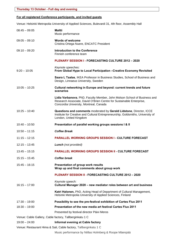## **For all registered Conference participants, and invited guests**

Venue: Helsinki Metropolia University of Applied Sciences, Bulevardi 31, 4th floor, Assembly Hall

| $08:45 - 09:05$ | <b>Maltti</b><br>Music performance                                                                                                                                                         |
|-----------------|--------------------------------------------------------------------------------------------------------------------------------------------------------------------------------------------|
| $09:05 - 09:10$ | <b>Words of welcome</b><br>Cristina Ortega Nuere, ENCATC President                                                                                                                         |
| $09:10 - 09:20$ | <b>Introduction to the Conference</b><br>Finnish conference team                                                                                                                           |
|                 | <b>PLENARY SESSION I - FORECASTING CULTURE 2012 - 2020</b>                                                                                                                                 |
| $9:20 - 10:05$  | Keynote speeches:<br>From Global Hype to Local Participation - Creative Economy Revisited                                                                                                  |
|                 | Saara L Taalas, IKEA Professor in Business Studies, School of Business and<br>Design, Linnaeus University, Sweden                                                                          |
| $10:05 - 10:25$ | Cultural networking in Europe and beyond: current trends and future<br>scenarios                                                                                                           |
|                 | Lidia Varbanova, PhD, Faculty Member, John Molson School of Business and<br>Research Associate, David O'Brien Centre for Sustainable Enterprise,<br>Concordia University, Montreal, Canada |
| $10:25 - 10:40$ | Questions and comments moderated by Gerald Lidstone, Director, ICCE<br>Institute for Creative and Cultural Entrepreneurship, Goldsmiths, University of<br>London, United Kingdom           |
| $10:40 - 10:50$ | Presentation of parallel working groups sessions I & II                                                                                                                                    |
| $10:50 - 11:15$ | <b>Coffee Break</b>                                                                                                                                                                        |
| $11:15 - 12:15$ | <b>PARALLEL WORKING GROUPS SESSION I - CULTURE FORECAST</b>                                                                                                                                |
| $12:15 - 13:45$ | <b>Lunch</b> (not provided)                                                                                                                                                                |
| $13:45 - 15:15$ | <b>PARALLEL WORKING GROUPS SESSION II - CULTURE FORECAST</b>                                                                                                                               |
| $15:15 - 15:45$ | Coffee break                                                                                                                                                                               |
| $15:45 - 16:15$ | Presentation of group work results<br>Wrap up and final comments about group work                                                                                                          |
|                 | <b>PLENARY SESSION II - FORECASTING CULTURE 2012 - 2020</b>                                                                                                                                |
| $16:15 - 17:00$ | Keynote speech:<br>Cultural Manager 2020 - new mediator roles between art and business                                                                                                     |
|                 | Katri Halonen, PhD, Acting Head of Department of Cultural Management,<br>Helsinki Metropolia University of Applied Sciences, Finland                                                       |
| $17:30 - 19:00$ | Possibility to see the pre-festival exhibition of Cartes Flux 2011                                                                                                                         |
| $18:30 - 19:00$ | Presentation of the new media art festival Cartes Flux 2011                                                                                                                                |
|                 | Presented by festival director Päivi Meros                                                                                                                                                 |
|                 | Venue: Cable Gallery, Cable factory, Tallberginkatu 1 C                                                                                                                                    |
| $19:00 - 24:00$ | Informal evening at Cable factory                                                                                                                                                          |
|                 | Venue: Restaurant Hima & Sali, Cable factory, Tallberginkatu 1 C                                                                                                                           |
|                 | Music performance by Niillas Holmberg & Roope Mäenpää                                                                                                                                      |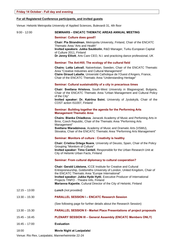## **For all Registered Conference participants, and invited guests**

Venue: Helsinki Metropolia University of Applied Sciences, Bulevardi 31, 4th floor

| $9:00 - 12:00$ | <b>SEMINARS – ENCATC THEMATIC AREAS ANNUAL MEETING</b> |
|----------------|--------------------------------------------------------|
|----------------|--------------------------------------------------------|

|                 | Seminar: Culture does good!!                                                                                                                                                                                                                                                                                                                                                                    |
|-----------------|-------------------------------------------------------------------------------------------------------------------------------------------------------------------------------------------------------------------------------------------------------------------------------------------------------------------------------------------------------------------------------------------------|
|                 | Chair: Pia Strandman, Metropolia University, Finland, Chair of the ENCATC<br>Thematic Area "Arts and Health"<br>Invited speakers: Jukka Saukkolin, R&D Manager, Turku European Capital<br>of Culture 2011, Finland<br>Dr Jenny Elliott, Arts Care CEO, N.I. and practicing dance professional, UK                                                                                               |
|                 | Seminar: The Ant-Hill; The ecology of the cultural field                                                                                                                                                                                                                                                                                                                                        |
|                 | <b>Chairs: Lotta Lekvall, Natverkstan, Sweden, Chair of the ENCATC Thematic</b><br>Area "Creative Industries and Cultural Management"<br>Claire Giraud Labalte, Université Catholique de l'Ouest d'Angers, France,<br>Chair of the ENCATC Thematic Area "Understanding Heritage"                                                                                                                |
|                 | Seminar: Cultural sustainability of a city in precarious times                                                                                                                                                                                                                                                                                                                                  |
|                 | <b>Chair: Svetlana Hristova, South-West University in Blagoevgrad, Bulgaria,</b><br>Chair of the ENCATC Thematic Area "Urban Management and Cultural Policy<br>of the City"                                                                                                                                                                                                                     |
|                 | Invited speaker: Dr. Katriina Soini, University of Jyväskylä, Chair of the<br>COST action IS1007, Finland                                                                                                                                                                                                                                                                                       |
|                 | Seminar: Building together the agenda for the Performing Arts<br><b>Management Thematic Area</b>                                                                                                                                                                                                                                                                                                |
|                 | Chairs: Blanka Chladkova, Janacek Academy of Music and Perfoming Arts in<br>Brno, Czech Republic, Chair of the Thematic Area "Performing Arts<br>Management"                                                                                                                                                                                                                                    |
|                 | Svetlana Waradzinova, Academy of Music and Dramatic Arts (VSMU),<br>Slovakia, Chair of the ENCATC Thematic Area "Performing Arts Management"                                                                                                                                                                                                                                                    |
|                 | Seminar: Monitors of culture : Creativity is healthy                                                                                                                                                                                                                                                                                                                                            |
|                 | Chair: Cristina Ortega Nuere, University of Deusto, Spain, Chair of the Policy<br>Grouping "Monitors of Culture"<br>Invited speaker: Timo Cantell, Responsible for the Urban Research Unit at<br>City of Helsinki Urban Facts, Finland                                                                                                                                                          |
|                 | Seminar: From cultural diplomacy to cultural cooperation?                                                                                                                                                                                                                                                                                                                                       |
|                 | Chair: Gerald Lidstone, ICCE Institute for Creative and Cultural<br>Entrepreneurship, Goldsmiths University of London, United Kingdom, Chair of<br>the ENCATC Thematic Area "Europe International"<br>Invited speaker: Jukka Hyde Hytti, Executive Producer of International<br>Projects TINFO - Theatre Info, Finland<br>Marianna Kajantie, Cultural Director of the City of Helsinki, Finland |
| $12:15 - 13:00$ | <b>Lunch</b> (not provided)                                                                                                                                                                                                                                                                                                                                                                     |
| $13:30 - 15:30$ | <b>PARALLEL SESSION I - ENCATC Research Session</b>                                                                                                                                                                                                                                                                                                                                             |
|                 | (See following page for further details about the Research Session)                                                                                                                                                                                                                                                                                                                             |
| $13:30 - 15:30$ | <b>PARALLEL SESSION II - Market Place Presentations of project proposals</b>                                                                                                                                                                                                                                                                                                                    |
| $15:45 - 16:45$ | <b>PLENARY SESSION III - General Assembly (ENCATC Members ONLY)</b>                                                                                                                                                                                                                                                                                                                             |
| $16:45 - 17:00$ | <b>Evaluation</b>                                                                                                                                                                                                                                                                                                                                                                               |

### 18:00 **Movie Night at Lasipalatsi**

Venue: Rio Rex, Lasipalatsi, Mannerheimintie 22-24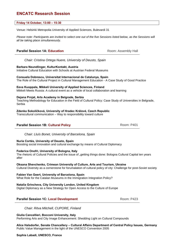# **ENCATC Research Session**

### **Friday 14 October, 13:00 – 15:30**

Venue: Helsinki Metropolia University of Applied Sciences, Bulevardi 31

*Please note: Participants are invited to select one out of the five Sessions listed below, as the Sessions will all be taking place simultaneously.* 

### **Parallel Session 1A: Education Room: Assembly Hall** Room: Assembly Hall

*Chair: Cristina Ortega Nuere, University of Deusto, Spain*

**Barbara Neundlinger, KulturKontakt, Austria**  Initiative Cultural Education with Schools at Austrian Federal Museums

**Consuela Dobrescu, Universitat Internacional de Catalunya, Spain**  The Role of the Cultural Project in Cultural Management Education - A Case Study of Good Practice

**Eeva Kuoppala, Mikkeli University of Applied Sciences, Finland**  Mikkeli Meets Russia: A cultural event as a vehicle of local collaboration and learning

### **Dejana Prnjat, Arts Academy in Belgrade, Serbia**

Teaching Methodology for Education in the Field of Cultural Policy: Case Study of Universities in Belgrade, Serbia

### **Zdenka Sokolíčková, University of Hradec Králové, Czech Republic**

Transcultural communication – Way to responsibility toward culture

### **Parallel Session 1B: Cultural Policy Room: P401** Room: P401

*Chair: Lluís Bonet, University of Barcelona, Spain* 

### **Nuria Cortés, University of Deusto, Spain**

Boosting social innovation and cultural exchange by means of Cultural Diplomacy

### **Federica Onofri, University of Bologna, Italy**

The rhetoric of Cultural Policies and the issue of "getting things done: Bologna Cultural Capital ten years after

### **Oksana Shevchenko, Crimean University of Culture, Arts and Tourism, Ukraine**

Cultural Diversity as a cornerstone for forumalation of cultural policy of city: Challenge for post-Soviet society

**Fabien Van Geert, University of Barcelona, Spain** 

What Role for the Catalan Museums in the Immigration Integration Policy?

### **Natalia Grincheva, City University London, United Kingdom**

Digital Diplomacy as a New Strategy for Open Access to the Culture of Europe

### **Parallel Session 1C: Local Development Room: P423**

*Chair: Ritva Mitchell, CUPORE, Finland*

**Giulia Cancellieri, Bocconi University, Italy**  Performing Arts and City Image Enhancement: Shedding Light on Cultural Compounds

**Alice Halsdorfer, Senate Chancellery – Cultural Affairs Department of Central Policy Issues, Germany**  Public Value Management in the light of the UNESCO Convention 2005

### **Sophia Labadi, UNESCO, France**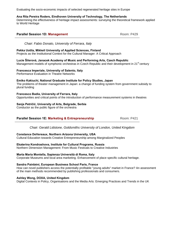Evaluating the socio-economic impacts of selected regenerated heritage sites in Europe

**Parallel Session 1D: Management** Room: P429

### **Ana Rita Pereira Roders, Eindhoven University of Technology, The Netherlands**

Determining the effectiveness of heritage impact assessments: surveying the theoretical framework applied to World Heritage

| Chair: Fabio Donato, University of Ferrara, Italy                                                                                                                                             |
|-----------------------------------------------------------------------------------------------------------------------------------------------------------------------------------------------|
| Pekka Uotila, Mikkeli University of Applied Sciences, Finland<br>Projects as the Institutional Context for the Cultural Manager: A Critical Approach                                          |
| Lucie Šilerová, Janacek Academy of Music and Performing Arts, Czech Republic<br>Management models of symphonic orchestras in Czech Republic and their development in 21 <sup>st</sup> century |
| Francesca Imperiale, University of Salento, Italy<br><b>Performance Evaluation in Theatre Networks</b>                                                                                        |
| Emiko Kakiuchi, National Graduate Institute for Policy Studies, Japan<br>The problems of theater management in Japan: a change of funding system from government subsidy to<br>plural funding |
| Francesco Badia, University of Ferrara, Italy<br>Opportunities and critical points of the introduction of performance measurement systems in theatres                                         |
| Sanja Petričić, University of Arts, Belgrade, Serbia<br>Conductor as the public figure of the orchestra                                                                                       |

**Parallel Session 1E: Marketing & Entrepreneurship Room: P421** 

*Chair: Gerald Lidstone, Goldsmiths University of London, United Kingdom* 

### **Constance DeVereaux, Northern Arizona University, USA**

Cultural Education towards Creative Entrepreneurship among Marginalized Peoples

### **Ekaterina Kondrashova, Institute for Cultural Programs, Russia**

Northern Dimension Management: From Music Festivals to Creative Industries

### **Marta Maria Montella, Sapienza Università di Roma, Italy**

Corporate Museums and local area marketing. Enhancement of place specific cultural heritage.

### **Sandra Painbéni, European Business School Paris, France**

How can novel publishers access the potentially profitable "young adults" market in France? An assessment of the main methods recommended by publishing professionals and consumers.

### **Ashley Wong, DOXA, United Kingdom**

Digital Contexts in Policy, Organisations and the Media Arts: Emerging Practices and Trends in the UK